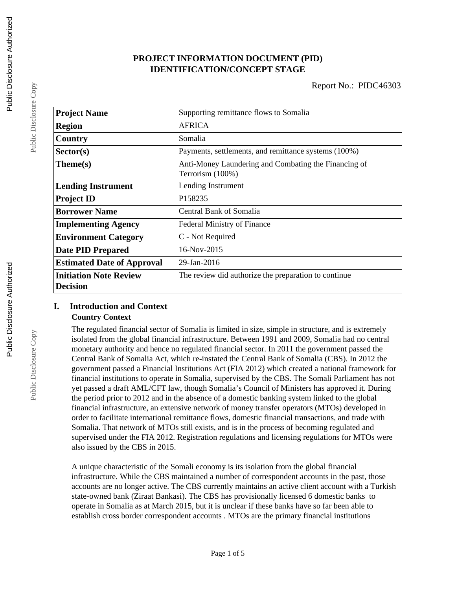# **PROJECT INFORMATION DOCUMENT (PID) IDENTIFICATION/CONCEPT STAGE**

| <b>Project Name</b>                              | Supporting remittance flows to Somalia                                   |  |  |
|--------------------------------------------------|--------------------------------------------------------------------------|--|--|
| <b>Region</b>                                    | <b>AFRICA</b>                                                            |  |  |
| Country                                          | Somalia                                                                  |  |  |
| Sector(s)                                        | Payments, settlements, and remittance systems (100%)                     |  |  |
| Theme(s)                                         | Anti-Money Laundering and Combating the Financing of<br>Terrorism (100%) |  |  |
| <b>Lending Instrument</b>                        | Lending Instrument                                                       |  |  |
| <b>Project ID</b>                                | P158235                                                                  |  |  |
| <b>Borrower Name</b>                             | Central Bank of Somalia                                                  |  |  |
| <b>Implementing Agency</b>                       | <b>Federal Ministry of Finance</b>                                       |  |  |
| <b>Environment Category</b>                      | C - Not Required                                                         |  |  |
| <b>Date PID Prepared</b>                         | 16-Nov-2015                                                              |  |  |
| <b>Estimated Date of Approval</b>                | 29-Jan-2016                                                              |  |  |
| <b>Initiation Note Review</b><br><b>Decision</b> | The review did authorize the preparation to continue                     |  |  |

# **I. Introduction and Context**

#### **Country Context**

The regulated financial sector of Somalia is limited in size, simple in structure, and is extremely isolated from the global financial infrastructure. Between 1991 and 2009, Somalia had no central monetary authority and hence no regulated financial sector. In 2011 the government passed the Central Bank of Somalia Act, which re-instated the Central Bank of Somalia (CBS). In 2012 the government passed a Financial Institutions Act (FIA 2012) which created a national framework for financial institutions to operate in Somalia, supervised by the CBS. The Somali Parliament has not yet passed a draft AML/CFT law, though Somalia's Council of Ministers has approved it. During the period prior to 2012 and in the absence of a domestic banking system linked to the global financial infrastructure, an extensive network of money transfer operators (MTOs) developed in order to facilitate international remittance flows, domestic financial transactions, and trade with Somalia. That network of MTOs still exists, and is in the process of becoming regulated and supervised under the FIA 2012. Registration regulations and licensing regulations for MTOs were also issued by the CBS in 2015.

A unique characteristic of the Somali economy is its isolation from the global financial infrastructure. While the CBS maintained a number of correspondent accounts in the past, those accounts are no longer active. The CBS currently maintains an active client account with a Turkish state-owned bank (Ziraat Bankasi). The CBS has provisionally licensed 6 domestic banks to operate in Somalia as at March 2015, but it is unclear if these banks have so far been able to establish cross border correspondent accounts . MTOs are the primary financial institutions

Public Disclosure Copy

Public Disclosure Copy

Public Disclosure Copy

Public Disclosure Copy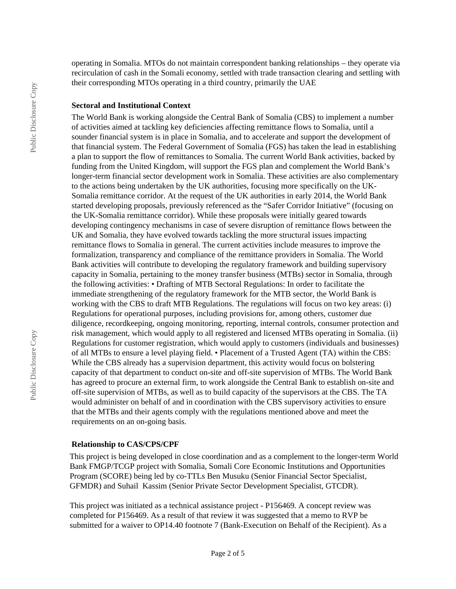operating in Somalia. MTOs do not maintain correspondent banking relationships – they operate via recirculation of cash in the Somali economy, settled with trade transaction clearing and settling with their corresponding MTOs operating in a third country, primarily the UAE

#### **Sectoral and Institutional Context**

The World Bank is working alongside the Central Bank of Somalia (CBS) to implement a number of activities aimed at tackling key deficiencies affecting remittance flows to Somalia, until a sounder financial system is in place in Somalia, and to accelerate and support the development of that financial system. The Federal Government of Somalia (FGS) has taken the lead in establishing a plan to support the flow of remittances to Somalia. The current World Bank activities, backed by funding from the United Kingdom, will support the FGS plan and complement the World Bank's longer-term financial sector development work in Somalia. These activities are also complementary to the actions being undertaken by the UK authorities, focusing more specifically on the UK-Somalia remittance corridor. At the request of the UK authorities in early 2014, the World Bank started developing proposals, previously referenced as the "Safer Corridor Initiative" (focusing on the UK-Somalia remittance corridor). While these proposals were initially geared towards developing contingency mechanisms in case of severe disruption of remittance flows between the UK and Somalia, they have evolved towards tackling the more structural issues impacting remittance flows to Somalia in general. The current activities include measures to improve the formalization, transparency and compliance of the remittance providers in Somalia. The World Bank activities will contribute to developing the regulatory framework and building supervisory capacity in Somalia, pertaining to the money transfer business (MTBs) sector in Somalia, through the following activities: • Drafting of MTB Sectoral Regulations: In order to facilitate the immediate strengthening of the regulatory framework for the MTB sector, the World Bank is working with the CBS to draft MTB Regulations. The regulations will focus on two key areas: (i) Regulations for operational purposes, including provisions for, among others, customer due diligence, recordkeeping, ongoing monitoring, reporting, internal controls, consumer protection and risk management, which would apply to all registered and licensed MTBs operating in Somalia. (ii) Regulations for customer registration, which would apply to customers (individuals and businesses) of all MTBs to ensure a level playing field. • Placement of a Trusted Agent (TA) within the CBS: While the CBS already has a supervision department, this activity would focus on bolstering capacity of that department to conduct on-site and off-site supervision of MTBs. The World Bank has agreed to procure an external firm, to work alongside the Central Bank to establish on-site and off-site supervision of MTBs, as well as to build capacity of the supervisors at the CBS. The TA would administer on behalf of and in coordination with the CBS supervisory activities to ensure that the MTBs and their agents comply with the regulations mentioned above and meet the requirements on an on-going basis.

#### **Relationship to CAS/CPS/CPF**

This project is being developed in close coordination and as a complement to the longer-term World Bank FMGP/TCGP project with Somalia, Somali Core Economic Institutions and Opportunities Program (SCORE) being led by co-TTLs Ben Musuku (Senior Financial Sector Specialist, GFMDR) and Suhail Kassim (Senior Private Sector Development Specialist, GTCDR).

This project was initiated as a technical assistance project - P156469. A concept review was completed for P156469. As a result of that review it was suggested that a memo to RVP be submitted for a waiver to OP14.40 footnote 7 (Bank-Execution on Behalf of the Recipient). As a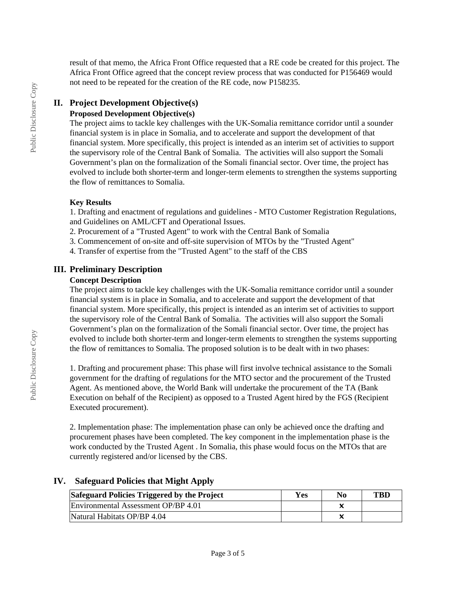result of that memo, the Africa Front Office requested that a RE code be created for this project. The Africa Front Office agreed that the concept review process that was conducted for P156469 would not need to be repeated for the creation of the RE code, now P158235.

# **II. Project Development Objective(s)**

#### **Proposed Development Objective(s)**

The project aims to tackle key challenges with the UK-Somalia remittance corridor until a sounder financial system is in place in Somalia, and to accelerate and support the development of that financial system. More specifically, this project is intended as an interim set of activities to support the supervisory role of the Central Bank of Somalia. The activities will also support the Somali Government's plan on the formalization of the Somali financial sector. Over time, the project has evolved to include both shorter-term and longer-term elements to strengthen the systems supporting the flow of remittances to Somalia.

# **Key Results**

1. Drafting and enactment of regulations and guidelines - MTO Customer Registration Regulations, and Guidelines on AML/CFT and Operational Issues.

- 2. Procurement of a "Trusted Agent" to work with the Central Bank of Somalia
- 3. Commencement of on-site and off-site supervision of MTOs by the "Trusted Agent"
- 4. Transfer of expertise from the "Trusted Agent" to the staff of the CBS

# **III. Preliminary Description**

#### **Concept Description**

The project aims to tackle key challenges with the UK-Somalia remittance corridor until a sounder financial system is in place in Somalia, and to accelerate and support the development of that financial system. More specifically, this project is intended as an interim set of activities to support the supervisory role of the Central Bank of Somalia. The activities will also support the Somali Government's plan on the formalization of the Somali financial sector. Over time, the project has evolved to include both shorter-term and longer-term elements to strengthen the systems supporting the flow of remittances to Somalia. The proposed solution is to be dealt with in two phases:

1. Drafting and procurement phase: This phase will first involve technical assistance to the Somali government for the drafting of regulations for the MTO sector and the procurement of the Trusted Agent. As mentioned above, the World Bank will undertake the procurement of the TA (Bank Execution on behalf of the Recipient) as opposed to a Trusted Agent hired by the FGS (Recipient Executed procurement).

2. Implementation phase: The implementation phase can only be achieved once the drafting and procurement phases have been completed. The key component in the implementation phase is the work conducted by the Trusted Agent . In Somalia, this phase would focus on the MTOs that are currently registered and/or licensed by the CBS.

#### **IV. Safeguard Policies that Might Apply**

| Safeguard Policies Triggered by the Project | Yes | No | TBD |
|---------------------------------------------|-----|----|-----|
| Environmental Assessment OP/BP 4.01         |     |    |     |
| Natural Habitats OP/BP 4.04                 |     |    |     |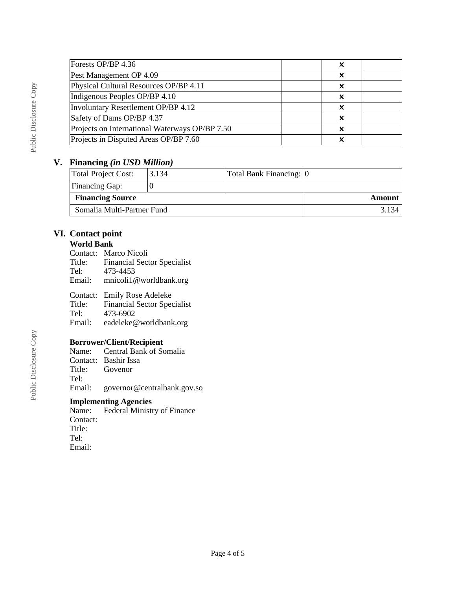| Forests OP/BP 4.36                             |   |  |
|------------------------------------------------|---|--|
| Pest Management OP 4.09                        | x |  |
| Physical Cultural Resources OP/BP 4.11         |   |  |
| Indigenous Peoples OP/BP 4.10                  | x |  |
| Involuntary Resettlement OP/BP 4.12            |   |  |
| Safety of Dams OP/BP 4.37                      | x |  |
| Projects on International Waterways OP/BP 7.50 |   |  |
| Projects in Disputed Areas OP/BP 7.60          |   |  |

#### **V. Financing** *(in USD Million)*

| Total Project Cost:        | 3.134 | Total Bank Financing: 0 |        |
|----------------------------|-------|-------------------------|--------|
| <b>Financing Gap:</b>      |       |                         |        |
| <b>Financing Source</b>    |       |                         | Amount |
| Somalia Multi-Partner Fund |       |                         |        |

# **VI. Contact point**

### **World Bank**

Contact: Marco Nicoli

Title: Financial Sector Specialist<br>Tel: 473-4453

Tel: 473-4453<br>Email: mnicoli10

Email: mnicoli1@worldbank.org

Contact: Emily Rose Adeleke<br>Title: Financial Sector Spec Financial Sector Specialist

Tel: 473-6902

Email: eadeleke@worldbank.org

#### **Borrower/Client/Recipient**

Name: Central Bank of Somalia Contact: Bashir Issa<br>Title: Govenor Govenor Tel: Email: governor@centralbank.gov.so

# **Implementing Agencies**

Federal Ministry of Finance Contact: Title: Tel: Email: